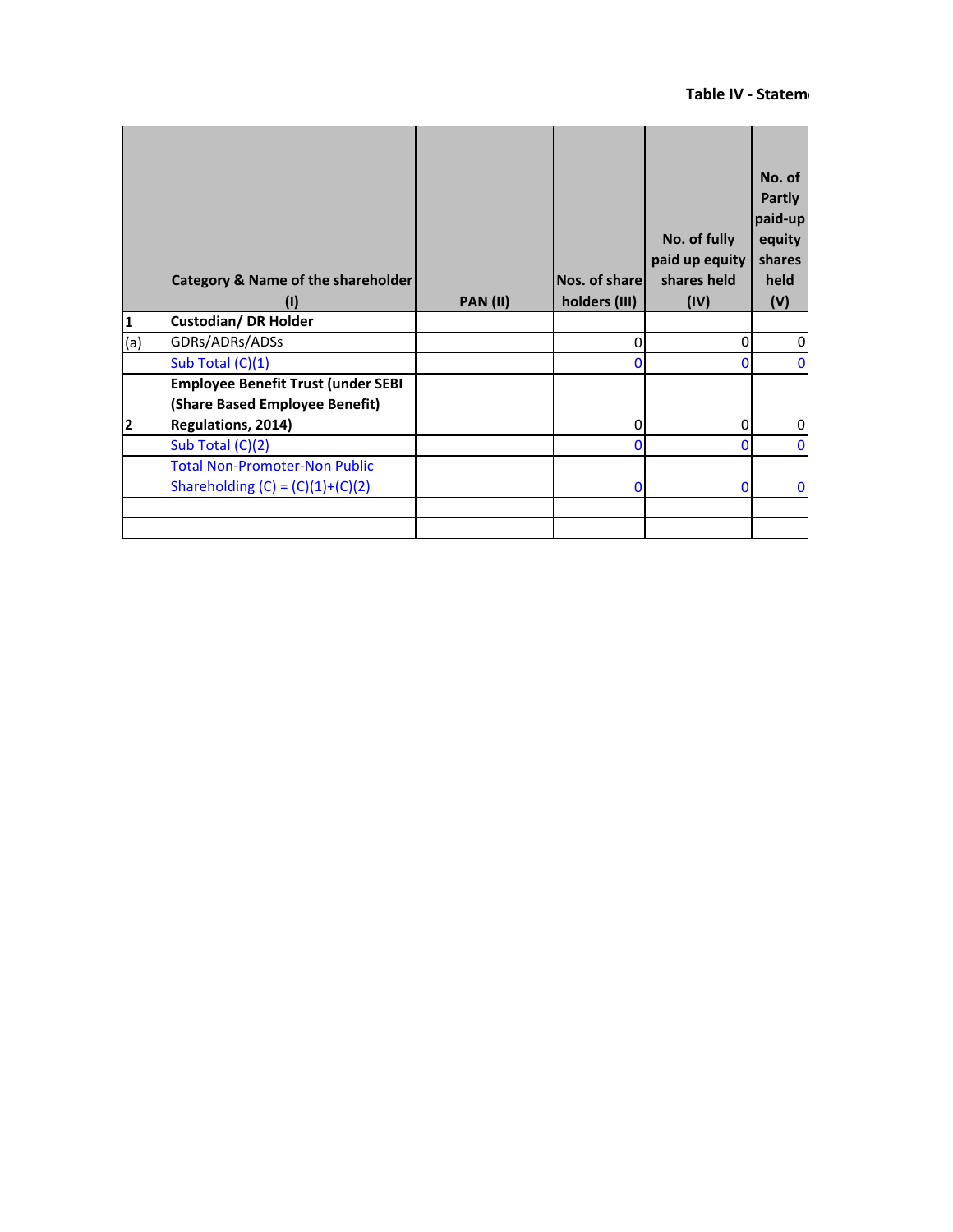|     | <b>Category &amp; Name of the shareholder</b><br>$\left( 1\right)$          | <b>PAN (II)</b> | Nos. of share<br>holders (III) | No. of fully<br>paid up equity<br>shares held<br>(IV) | No. of<br><b>Partly</b><br>paid-up<br>equity<br>shares<br>held<br>(V) |
|-----|-----------------------------------------------------------------------------|-----------------|--------------------------------|-------------------------------------------------------|-----------------------------------------------------------------------|
| 11  | <b>Custodian/DR Holder</b>                                                  |                 |                                |                                                       |                                                                       |
| (a) | GDRs/ADRs/ADSs                                                              |                 | $\mathbf 0$                    | 0                                                     | 0                                                                     |
|     | Sub Total (C)(1)                                                            |                 | 0                              | 0                                                     | $\bf{0}$                                                              |
|     | <b>Employee Benefit Trust (under SEBI</b><br>(Share Based Employee Benefit) |                 |                                |                                                       |                                                                       |
| 12  | Regulations, 2014)                                                          |                 | 0                              | 0                                                     | 0                                                                     |
|     | Sub Total (C)(2)                                                            |                 | n                              | O                                                     | $\mathbf{0}$                                                          |
|     | <b>Total Non-Promoter-Non Public</b><br>Shareholding $(C) = (C)(1)+(C)(2)$  |                 | 0                              | 0                                                     | $\bf{0}$                                                              |
|     |                                                                             |                 |                                |                                                       |                                                                       |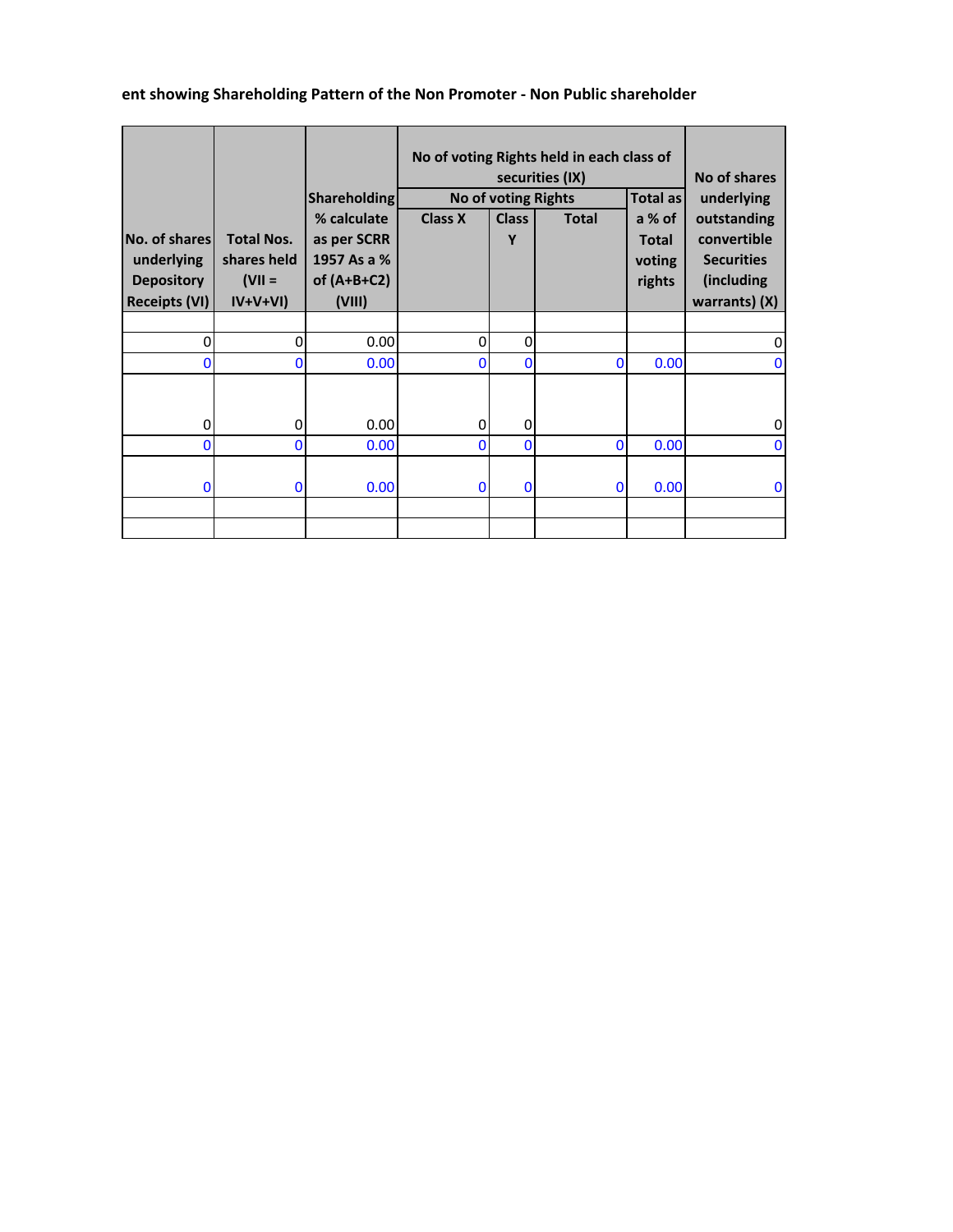## **ent showing Shareholding Pattern of the Non Promoter ‐ Non Public shareholder**

| No. of shares<br>underlying<br><b>Depository</b><br><b>Receipts (VI)</b> | <b>Total Nos.</b><br>shares held<br>$(VII =$<br>$IV+V+VI)$ | <b>Shareholding</b><br>% calculate<br>as per SCRR<br>1957 As a %<br>of $(A+B+C2)$<br>(VIII) | <b>Class X</b> | <b>No of voting Rights</b><br><b>Class</b><br>Υ | No of voting Rights held in each class of<br>securities (IX)<br><b>Total</b> | <b>Total as</b><br>a % of<br><b>Total</b><br>voting<br>rights | No of shares<br>underlying<br>outstanding<br>convertible<br><b>Securities</b><br>(including<br>warrants) (X) |
|--------------------------------------------------------------------------|------------------------------------------------------------|---------------------------------------------------------------------------------------------|----------------|-------------------------------------------------|------------------------------------------------------------------------------|---------------------------------------------------------------|--------------------------------------------------------------------------------------------------------------|
| 0                                                                        | 0                                                          | 0.00                                                                                        | 0              | 0                                               |                                                                              |                                                               | 0                                                                                                            |
| 0                                                                        | 0                                                          | 0.00                                                                                        | $\mathbf{0}$   | $\bf{0}$                                        | $\mathbf{0}$                                                                 | 0.00                                                          | 0                                                                                                            |
| 0                                                                        | 0                                                          | 0.00                                                                                        | 0              | 0                                               |                                                                              |                                                               | 0                                                                                                            |
| 0                                                                        | 0                                                          | 0.00                                                                                        | $\bf{0}$       | 0                                               | $\bf{0}$                                                                     | 0.00                                                          | $\bf{0}$                                                                                                     |
| 0                                                                        | 0                                                          | 0.00                                                                                        | $\bf{0}$       | 0                                               | $\mathbf{0}$                                                                 | 0.00                                                          | $\bf{0}$                                                                                                     |
|                                                                          |                                                            |                                                                                             |                |                                                 |                                                                              |                                                               |                                                                                                              |